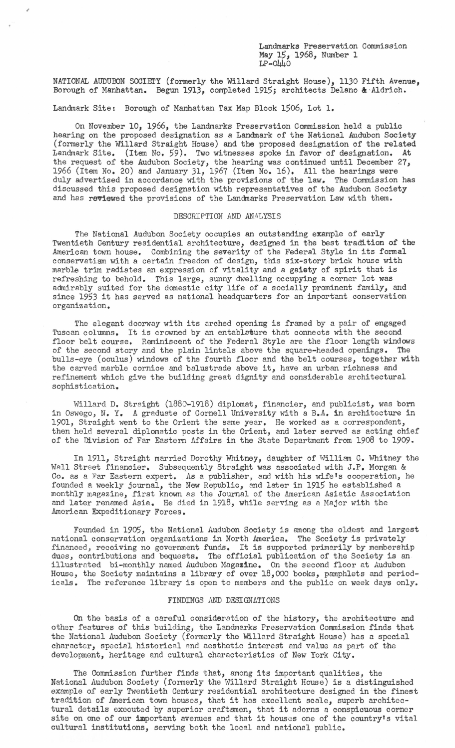Landmarks Preservation Commission May 15, 1968, Number 1 LP-0440

NATIONAL AUDUBON SOCIETY (formerly the Willard Straight House), 1130 Fifth Avenue, Borough of Manhattan. Begun 1913, completed 1915; architects Delano &·Aldrich.

Landmark Site: Borough of Manhattan Tax Map Block 1506, Lot 1.

On November 10, 1966, the Landmarks Preservation Commission held a public hearing on the proposed designation as a Landmark of the National Audubon Society (formerly the Willard Straight House) and the proposed designation of the related Landmark Site. (Item No. 59). Two witnesses spoke in favor of designation. At the request of the Audubon Society, the hearing was continued until December 27, 1966 (Item No. 20) and January 31, 1967 (Item No. 16), All tne hearings were duly advertised in accordance with the provisions of the law. The Commission has discussed this proposed designation with representatives of the Audubon Society and has reviewed the provisions of the Landmarks Preservation Law with them.

## DESCRIPTION AND ANALYSIS

The National Audubon Society occupies an outstanding example of early Twentieth Century residential architecture, designed in the best tradition of the American town house. Combining the severity of the Federal Style in its formal conservatism with a certain freedom of design, this six-story brick house with marble trim radiates an expression of vitality and a gaiety of spirit that is refreshing to behold. This large, sunny dwelling occupying a corner lot was admirably suited for the domestic city life of a socially prominent family, and since 1953 it has served as national headquarters for an important conservation organization.

The elegant doorway with its arched opening is framed by a pair of engaged Tuscan columns. It is crowned by an entablature that connects with the second floor belt course. Reminiscent of the Federal Style are the floor length windows of the second story and the plain lintels above the square-headed openings. The bulls-eye (oculus) windows of the fourth floor and the belt courses, together with the carved marble cornice and balustrade above it, have an urban richness and refinement which give the building great dignity and considerable architectural sophistication.

Willard D. Straight (1880-1918) diplomat, financier, and publicist, was born in Oswego, N. Y. A graduate of Cornell University with a B.A. in architecture in 1901, Straight went to the Orient the same year. He worked as a correspondent, then held several diplomatic posts in the Orient, and later served as acting chief of the Division of Far Eastern Affairs in the State Department from 1908 to 1909.

In 1911, Straight married Dorothy Whitney, daughter of William C. Whitney the Wall Street financier. Subsequently Straight was associated with J.P. Morgan & Co. as a Far Eastern expert. As a publisher, and with his wife's cooperation, he founded a weekly journal, the New Republic, and later in 1915 he established a monthly magazine, first known as the Journal of the American Asiatic Association and later renamed Asia. He died in 1918, while serving as a Major with the American Expeditionary Forces.

Founded in 1905, the National Audubon Society is among the oldest and largest national conservation organizations in North America. The Society is privately financed, receiving no government funds. It is supported primarily by membership dues, contributions and bequests. The official publication of the Society is an illustrated bi-monthly named Audubon Magazine. On the second floor at Audubon House, the Society maintains a library of over 18,000 books, pamphlets and periodicals. The reference library is open to members and the public on week days only.

## FINDINGS AND DESIGNATIONS

On the basis of a careful consideration of the history, the architecture and other features of this building, the Landmarks Preservation Commission finds that the National Audubon Society (formerly the Willard Straight House) has a special character, special historical and aesthetic interest and value as part of the development, heritage and cultural characteristics of New York City.

The Commission further finds that, among its important qualities, the National Audubon Society (formerly the Willard Straight House) is a distinguished example of early Twentieth Century residential architecture designed in the finest tradition of American town houses, that it has excellent scale, superb architectural details executed by superior craftsmen, that it adorns a conspicuous corner site on one of our important avenues and that it houses one of the country's vital cultural institutions, serving both the local and national public.